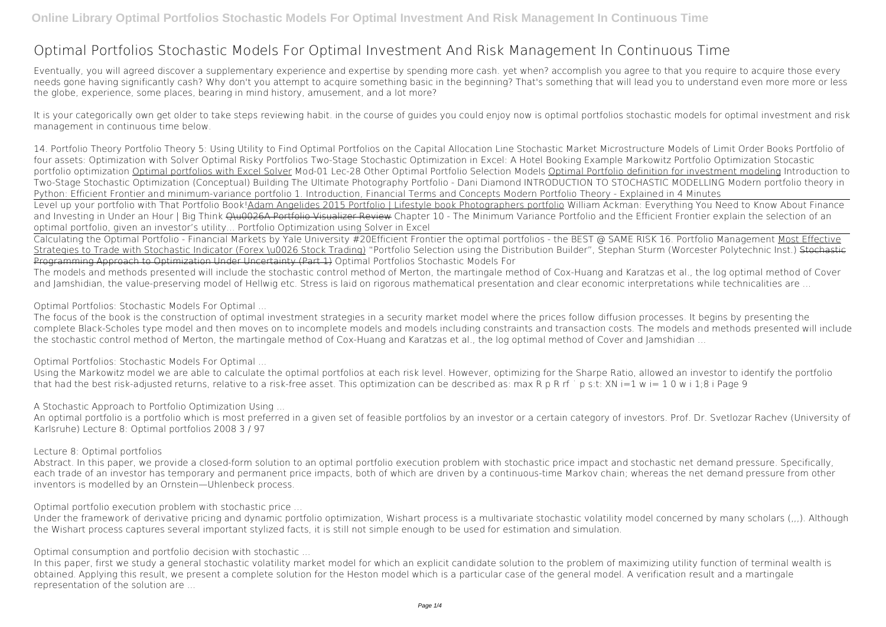# **Optimal Portfolios Stochastic Models For Optimal Investment And Risk Management In Continuous Time**

Eventually, you will agreed discover a supplementary experience and expertise by spending more cash. yet when? accomplish you agree to that you require to acquire those every needs gone having significantly cash? Why don't you attempt to acquire something basic in the beginning? That's something that will lead you to understand even more more or less the globe, experience, some places, bearing in mind history, amusement, and a lot more?

It is your categorically own get older to take steps reviewing habit. in the course of guides you could enjoy now is **optimal portfolios stochastic models for optimal investment and risk management in continuous time** below.

The models and methods presented will include the stochastic control method of Merton, the martingale method of Cox-Huang and Karatzas et al., the log optimal method of Cover and Jamshidian, the value-preserving model of Hellwig etc. Stress is laid on rigorous mathematical presentation and clear economic interpretations while technicalities are ...

**14. Portfolio Theory** *Portfolio Theory 5: Using Utility to Find Optimal Portfolios on the Capital Allocation Line* Stochastic Market Microstructure Models of Limit Order Books *Portfolio of four assets: Optimization with Solver Optimal Risky Portfolios Two-Stage Stochastic Optimization in Excel: A Hotel Booking Example* **Markowitz Portfolio Optimization** *Stocastic portfolio optimization* Optimal portfolios with Excel Solver **Mod-01 Lec-28 Other Optimal Portfolio Selection Models** Optimal Portfolio definition for investment modeling Introduction to Two-Stage Stochastic Optimization (Conceptual) Building The Ultimate Photography Portfolio - Dani Diamond INTRODUCTION TO STOCHASTIC MODELLING Modern portfolio theory in Python: Efficient Frontier and minimum-variance portfolio **1. Introduction, Financial Terms and Concepts** *Modern Portfolio Theory - Explained in 4 Minutes* Level up your portfolio with That Portfolio Book!Adam Angelides 2015 Portfolio | Lifestyle book Photographers portfolio **William Ackman: Everything You Need to Know About Finance** and Investing in Under an Hour | Big Think <del>O\u0026A Portfolio Visualizer Review</del> Chapter 10 - The Minimum Variance Portfolio and the Efficient Frontier explain the selection of an optimal portfolio, given an investor's utility... *Portfolio Optimization using Solver in Excel*

Calculating the Optimal Portfolio - Financial Markets by Yale University #20*Efficient Frontier the optimal portfolios - the BEST @ SAME RISK 16. Portfolio Management* Most Effective Strategies to Trade with Stochastic Indicator (Forex \u0026 Stock Trading) *"Portfolio Selection using the Distribution Builder", Stephan Sturm (Worcester Polytechnic Inst.)* Stochastic Programming Approach to Optimization Under Uncertainty (Part 1) **Optimal Portfolios Stochastic Models For**

**Optimal Portfolios: Stochastic Models For Optimal ...**

The focus of the book is the construction of optimal investment strategies in a security market model where the prices follow diffusion processes. It begins by presenting the complete Black-Scholes type model and then moves on to incomplete models and models including constraints and transaction costs. The models and methods presented will include the stochastic control method of Merton, the martingale method of Cox-Huang and Karatzas et al., the log optimal method of Cover and Jamshidian ...

**Optimal Portfolios: Stochastic Models For Optimal ...**

Using the Markowitz model we are able to calculate the optimal portfolios at each risk level. However, optimizing for the Sharpe Ratio, allowed an investor to identify the portfolio that had the best risk-adjusted returns, relative to a risk-free asset. This optimization can be described as: max R p R rf ˙ p s:t: XN i=1 w i= 1 0 w i 1;8 i Page 9

**A Stochastic Approach to Portfolio Optimization Using ...**

An optimal portfolio is a portfolio which is most preferred in a given set of feasible portfolios by an investor or a certain category of investors. Prof. Dr. Svetlozar Rachev (University of Karlsruhe) Lecture 8: Optimal portfolios 2008 3 / 97

### **Lecture 8: Optimal portfolios**

Abstract. In this paper, we provide a closed-form solution to an optimal portfolio execution problem with stochastic price impact and stochastic net demand pressure. Specifically, each trade of an investor has temporary and permanent price impacts, both of which are driven by a continuous-time Markov chain; whereas the net demand pressure from other inventors is modelled by an Ornstein—Uhlenbeck process.

**Optimal portfolio execution problem with stochastic price ...**

Under the framework of derivative pricing and dynamic portfolio optimization, Wishart process is a multivariate stochastic volatility model concerned by many scholars (,,,). Although the Wishart process captures several important stylized facts, it is still not simple enough to be used for estimation and simulation.

**Optimal consumption and portfolio decision with stochastic ...**

In this paper, first we study a general stochastic volatility market model for which an explicit candidate solution to the problem of maximizing utility function of terminal wealth is obtained. Applying this result, we present a complete solution for the Heston model which is a particular case of the general model. A verification result and a martingale representation of the solution are ...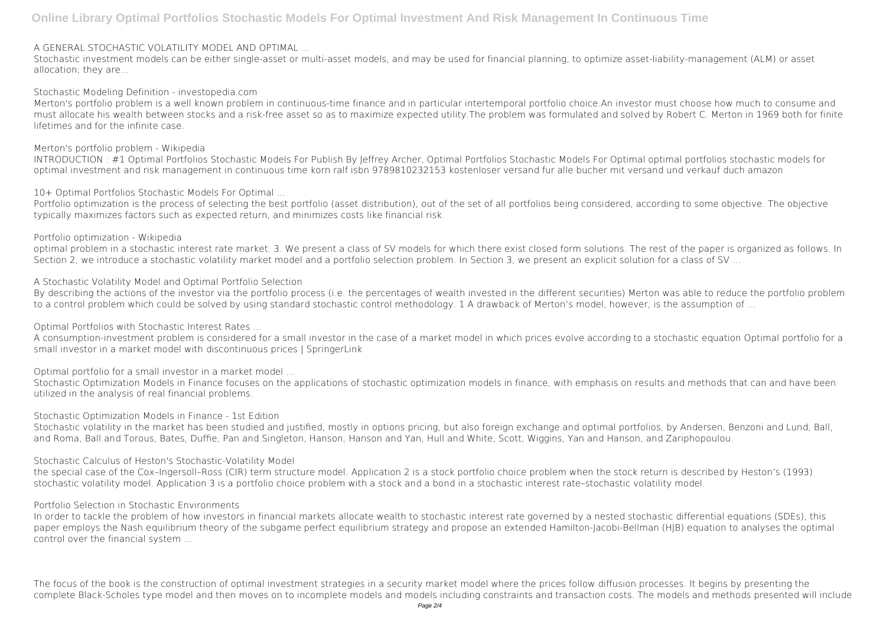#### **A GENERAL STOCHASTIC VOLATILITY MODEL AND OPTIMAL ...**

Stochastic investment models can be either single-asset or multi-asset models, and may be used for financial planning, to optimize asset-liability-management (ALM) or asset allocation; they are...

**Stochastic Modeling Definition - investopedia.com**

Merton's portfolio problem is a well known problem in continuous-time finance and in particular intertemporal portfolio choice.An investor must choose how much to consume and must allocate his wealth between stocks and a risk-free asset so as to maximize expected utility.The problem was formulated and solved by Robert C. Merton in 1969 both for finite lifetimes and for the infinite case.

Portfolio optimization is the process of selecting the best portfolio (asset distribution), out of the set of all portfolios being considered, according to some objective. The objective typically maximizes factors such as expected return, and minimizes costs like financial risk.

optimal problem in a stochastic interest rate market. 3. We present a class of SV models for which there exist closed form solutions. The rest of the paper is organized as follows. In Section 2, we introduce a stochastic volatility market model and a portfolio selection problem. In Section 3, we present an explicit solution for a class of SV ...

#### **Merton's portfolio problem - Wikipedia**

INTRODUCTION : #1 Optimal Portfolios Stochastic Models For Publish By Jeffrey Archer, Optimal Portfolios Stochastic Models For Optimal optimal portfolios stochastic models for optimal investment and risk management in continuous time korn ralf isbn 9789810232153 kostenloser versand fur alle bucher mit versand und verkauf duch amazon

By describing the actions of the investor via the portfolio process (i.e. the percentages of wealth invested in the different securities) Merton was able to reduce the portfolio problem to a control problem which could be solved by using standard stochastic control methodology. 1 A drawback of Merton's model, however, is the assumption of ...

**10+ Optimal Portfolios Stochastic Models For Optimal ...**

**Portfolio optimization - Wikipedia**

Stochastic volatility in the market has been studied and justified, mostly in options pricing, but also foreign exchange and optimal portfolios, by Andersen, Benzoni and Lund, Ball, and Roma, Ball and Torous, Bates, Duffie, Pan and Singleton, Hanson, Hanson and Yan, Hull and White, Scott, Wiggins, Yan and Hanson, and Zariphopoulou.

**A Stochastic Volatility Model and Optimal Portfolio Selection**

**Optimal Portfolios with Stochastic Interest Rates ...**

A consumption-investment problem is considered for a small investor in the case of a market model in which prices evolve according to a stochastic equation Optimal portfolio for a small investor in a market model with discontinuous prices | SpringerLink

**Optimal portfolio for a small investor in a market model ...**

Stochastic Optimization Models in Finance focuses on the applications of stochastic optimization models in finance, with emphasis on results and methods that can and have been utilized in the analysis of real financial problems.

**Stochastic Optimization Models in Finance - 1st Edition**

**Stochastic Calculus of Heston's Stochastic-Volatility Model**

the special case of the Cox–Ingersoll–Ross (CIR) term structure model. Application 2 is a stock portfolio choice problem when the stock return is described by Heston's (1993) stochastic volatility model. Application 3 is a portfolio choice problem with a stock and a bond in a stochastic interest rate–stochastic volatility model.

**Portfolio Selection in Stochastic Environments**

In order to tackle the problem of how investors in financial markets allocate wealth to stochastic interest rate governed by a nested stochastic differential equations (SDEs), this paper employs the Nash equilibrium theory of the subgame perfect equilibrium strategy and propose an extended Hamilton-Jacobi-Bellman (HJB) equation to analyses the optimal control over the financial system ...

The focus of the book is the construction of optimal investment strategies in a security market model where the prices follow diffusion processes. It begins by presenting the complete Black-Scholes type model and then moves on to incomplete models and models including constraints and transaction costs. The models and methods presented will include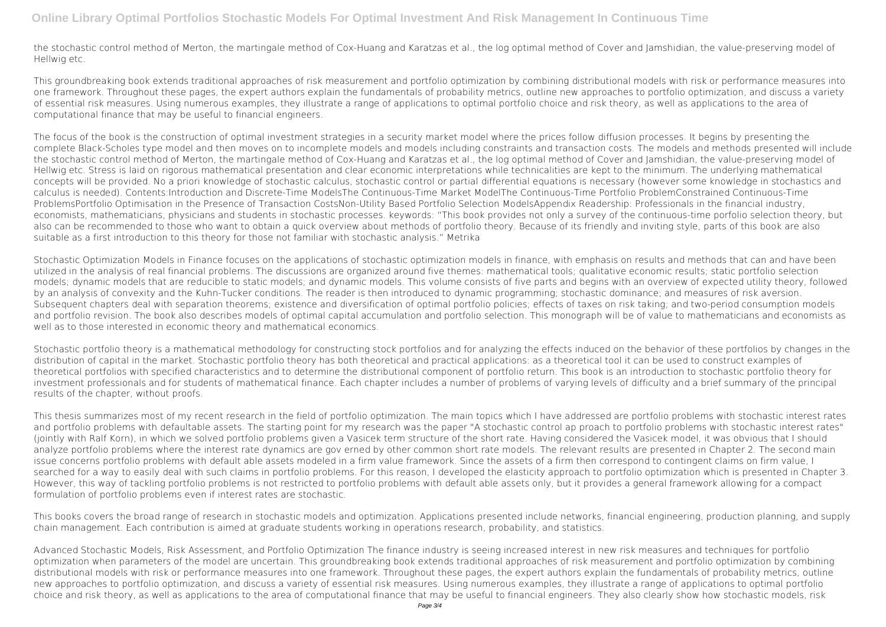the stochastic control method of Merton, the martingale method of Cox-Huang and Karatzas et al., the log optimal method of Cover and Jamshidian, the value-preserving model of Hellwig etc.

This groundbreaking book extends traditional approaches of risk measurement and portfolio optimization by combining distributional models with risk or performance measures into one framework. Throughout these pages, the expert authors explain the fundamentals of probability metrics, outline new approaches to portfolio optimization, and discuss a variety of essential risk measures. Using numerous examples, they illustrate a range of applications to optimal portfolio choice and risk theory, as well as applications to the area of computational finance that may be useful to financial engineers.

The focus of the book is the construction of optimal investment strategies in a security market model where the prices follow diffusion processes. It begins by presenting the complete Black-Scholes type model and then moves on to incomplete models and models including constraints and transaction costs. The models and methods presented will include the stochastic control method of Merton, the martingale method of Cox-Huang and Karatzas et al., the log optimal method of Cover and Jamshidian, the value-preserving model of Hellwig etc. Stress is laid on rigorous mathematical presentation and clear economic interpretations while technicalities are kept to the minimum. The underlying mathematical concepts will be provided. No a priori knowledge of stochastic calculus, stochastic control or partial differential equations is necessary (however some knowledge in stochastics and calculus is needed). Contents:Introduction and Discrete-Time ModelsThe Continuous-Time Market ModelThe Continuous-Time Portfolio ProblemConstrained Continuous-Time ProblemsPortfolio Optimisation in the Presence of Transaction CostsNon-Utility Based Portfolio Selection ModelsAppendix Readership: Professionals in the financial industry, economists, mathematicians, physicians and students in stochastic processes. keywords: "This book provides not only a survey of the continuous-time porfolio selection theory, but also can be recommended to those who want to obtain a quick overview about methods of portfolio theory. Because of its friendly and inviting style, parts of this book are also suitable as a first introduction to this theory for those not familiar with stochastic analysis." Metrika

Stochastic Optimization Models in Finance focuses on the applications of stochastic optimization models in finance, with emphasis on results and methods that can and have been utilized in the analysis of real financial problems. The discussions are organized around five themes: mathematical tools; qualitative economic results; static portfolio selection models; dynamic models that are reducible to static models; and dynamic models. This volume consists of five parts and begins with an overview of expected utility theory, followed by an analysis of convexity and the Kuhn-Tucker conditions. The reader is then introduced to dynamic programming; stochastic dominance; and measures of risk aversion. Subsequent chapters deal with separation theorems; existence and diversification of optimal portfolio policies; effects of taxes on risk taking; and two-period consumption models and portfolio revision. The book also describes models of optimal capital accumulation and portfolio selection. This monograph will be of value to mathematicians and economists as well as to those interested in economic theory and mathematical economics.

Stochastic portfolio theory is a mathematical methodology for constructing stock portfolios and for analyzing the effects induced on the behavior of these portfolios by changes in the distribution of capital in the market. Stochastic portfolio theory has both theoretical and practical applications: as a theoretical tool it can be used to construct examples of theoretical portfolios with specified characteristics and to determine the distributional component of portfolio return. This book is an introduction to stochastic portfolio theory for investment professionals and for students of mathematical finance. Each chapter includes a number of problems of varying levels of difficulty and a brief summary of the principal results of the chapter, without proofs.

This thesis summarizes most of my recent research in the field of portfolio optimization. The main topics which I have addressed are portfolio problems with stochastic interest rates and portfolio problems with defaultable assets. The starting point for my research was the paper "A stochastic control ap proach to portfolio problems with stochastic interest rates" (jointly with Ralf Korn), in which we solved portfolio problems given a Vasicek term structure of the short rate. Having considered the Vasicek model, it was obvious that I should analyze portfolio problems where the interest rate dynamics are gov erned by other common short rate models. The relevant results are presented in Chapter 2. The second main issue concerns portfolio problems with default able assets modeled in a firm value framework. Since the assets of a firm then correspond to contingent claims on firm value, I searched for a way to easily deal with such claims in portfolio problems. For this reason, I developed the elasticity approach to portfolio optimization which is presented in Chapter 3. However, this way of tackling portfolio problems is not restricted to portfolio problems with default able assets only, but it provides a general framework allowing for a compact formulation of portfolio problems even if interest rates are stochastic.

This books covers the broad range of research in stochastic models and optimization. Applications presented include networks, financial engineering, production planning, and supply chain management. Each contribution is aimed at graduate students working in operations research, probability, and statistics.

Advanced Stochastic Models, Risk Assessment, and Portfolio Optimization The finance industry is seeing increased interest in new risk measures and techniques for portfolio optimization when parameters of the model are uncertain. This groundbreaking book extends traditional approaches of risk measurement and portfolio optimization by combining distributional models with risk or performance measures into one framework. Throughout these pages, the expert authors explain the fundamentals of probability metrics, outline new approaches to portfolio optimization, and discuss a variety of essential risk measures. Using numerous examples, they illustrate a range of applications to optimal portfolio choice and risk theory, as well as applications to the area of computational finance that may be useful to financial engineers. They also clearly show how stochastic models, risk